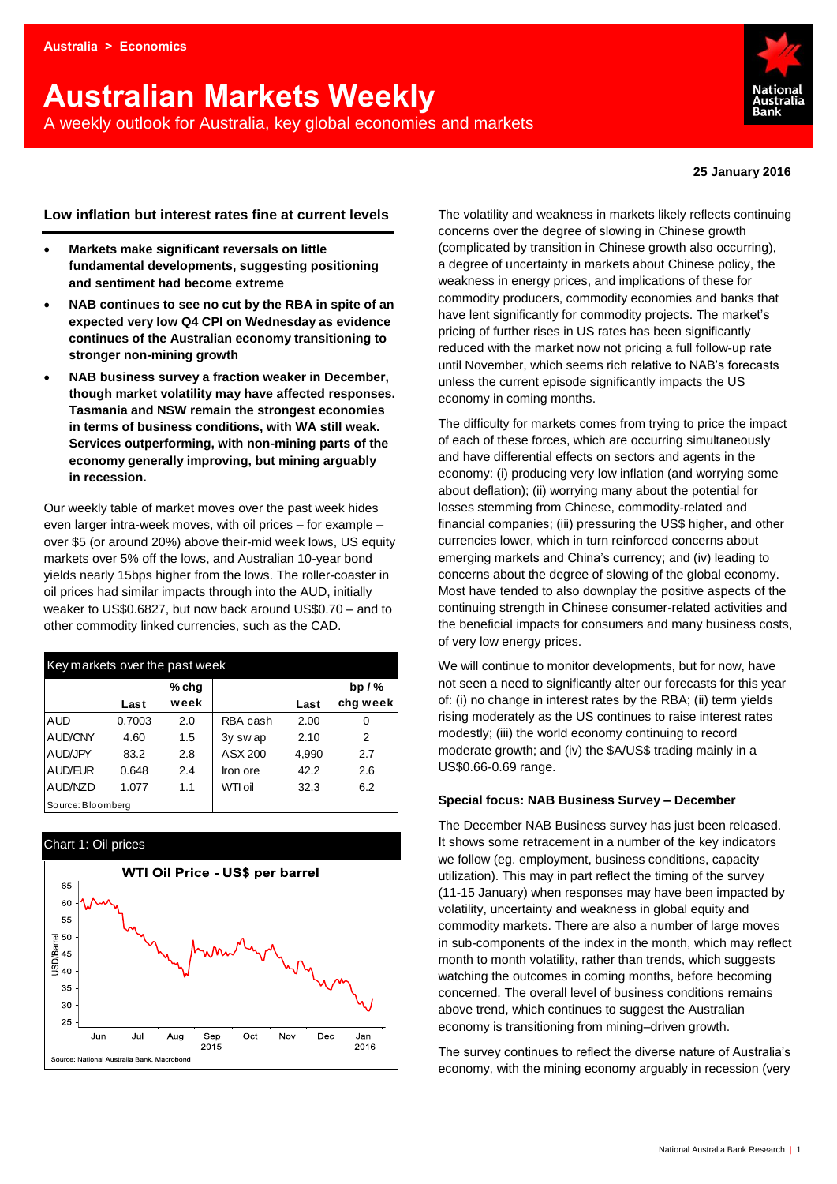# **Australian Markets Weekly**  A weekly outlook for Australia, key global economies and markets



#### **25 January 2016**

#### **Low inflation but interest rates fine at current levels**

- **Markets make significant reversals on little fundamental developments, suggesting positioning and sentiment had become extreme**
- **NAB continues to see no cut by the RBA in spite of an expected very low Q4 CPI on Wednesday as evidence continues of the Australian economy transitioning to stronger non-mining growth**
- **NAB business survey a fraction weaker in December, though market volatility may have affected responses. Tasmania and NSW remain the strongest economies in terms of business conditions, with WA still weak. Services outperforming, with non-mining parts of the economy generally improving, but mining arguably in recession.**

Our weekly table of market moves over the past week hides even larger intra-week moves, with oil prices – for example – over \$5 (or around 20%) above their-mid week lows, US equity markets over 5% off the lows, and Australian 10-year bond yields nearly 15bps higher from the lows. The roller-coaster in oil prices had similar impacts through into the AUD, initially weaker to US\$0.6827, but now back around US\$0.70 – and to other commodity linked currencies, such as the CAD.

| Key markets over the past week |        |       |          |       |               |  |  |  |  |  |  |
|--------------------------------|--------|-------|----------|-------|---------------|--|--|--|--|--|--|
|                                |        | % chq |          |       | bp $/$ %      |  |  |  |  |  |  |
|                                | Last   | week  |          | Last  | chg week      |  |  |  |  |  |  |
| AUD                            | 0.7003 | 2.0   | RBA cash | 2.00  | 0             |  |  |  |  |  |  |
| AUD/CNY                        | 4.60   | 1.5   | 3y swap  | 2.10  | $\mathcal{P}$ |  |  |  |  |  |  |
| AUD/JPY                        | 83.2   | 2.8   | ASX 200  | 4,990 | 2.7           |  |  |  |  |  |  |
| AUD/EUR                        | 0.648  | 2.4   | Iron ore | 42.2  | 2.6           |  |  |  |  |  |  |
| AUD/NZD                        | 1.077  | 1.1   | WTI oil  | 32.3  | 6.2           |  |  |  |  |  |  |
| Source: Bloomberg              |        |       |          |       |               |  |  |  |  |  |  |

#### Chart 1: Oil prices



The volatility and weakness in markets likely reflects continuing concerns over the degree of slowing in Chinese growth (complicated by transition in Chinese growth also occurring), a degree of uncertainty in markets about Chinese policy, the weakness in energy prices, and implications of these for commodity producers, commodity economies and banks that have lent significantly for commodity projects. The market's pricing of further rises in US rates has been significantly reduced with the market now not pricing a full follow-up rate until November, which seems rich relative to NAB's forecasts unless the current episode significantly impacts the US economy in coming months.

The difficulty for markets comes from trying to price the impact of each of these forces, which are occurring simultaneously and have differential effects on sectors and agents in the economy: (i) producing very low inflation (and worrying some about deflation); (ii) worrying many about the potential for losses stemming from Chinese, commodity-related and financial companies; (iii) pressuring the US\$ higher, and other currencies lower, which in turn reinforced concerns about emerging markets and China's currency; and (iv) leading to concerns about the degree of slowing of the global economy. Most have tended to also downplay the positive aspects of the continuing strength in Chinese consumer-related activities and the beneficial impacts for consumers and many business costs, of very low energy prices.

We will continue to monitor developments, but for now, have not seen a need to significantly alter our forecasts for this year of: (i) no change in interest rates by the RBA; (ii) term yields rising moderately as the US continues to raise interest rates modestly; (iii) the world economy continuing to record moderate growth; and (iv) the \$A/US\$ trading mainly in a US\$0.66-0.69 range.

#### **Special focus: NAB Business Survey – December**

The December NAB Business survey has just been released. It shows some retracement in a number of the key indicators we follow (eg. employment, business conditions, capacity utilization). This may in part reflect the timing of the survey (11-15 January) when responses may have been impacted by volatility, uncertainty and weakness in global equity and commodity markets. There are also a number of large moves in sub-components of the index in the month, which may reflect month to month volatility, rather than trends, which suggests watching the outcomes in coming months, before becoming concerned. The overall level of business conditions remains above trend, which continues to suggest the Australian economy is transitioning from mining–driven growth.

The survey continues to reflect the diverse nature of Australia's economy, with the mining economy arguably in recession (very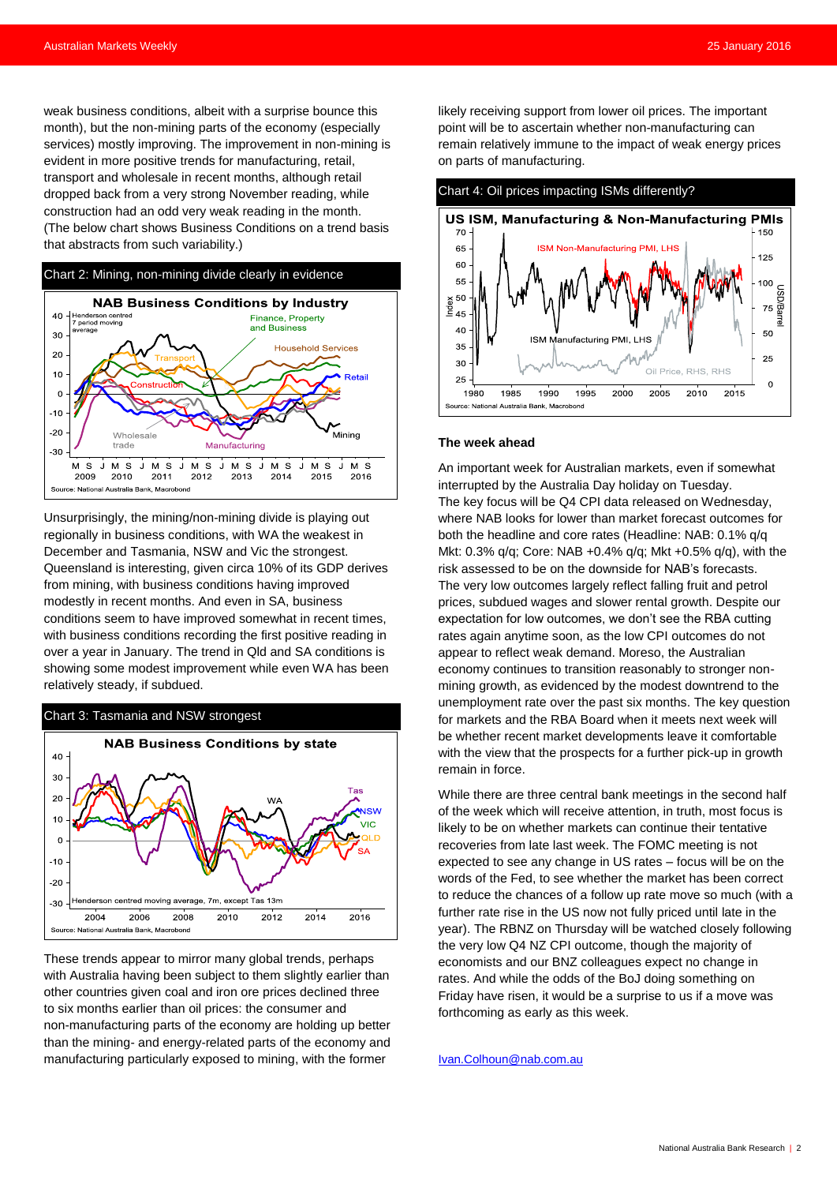weak business conditions, albeit with a surprise bounce this month), but the non-mining parts of the economy (especially services) mostly improving. The improvement in non-mining is evident in more positive trends for manufacturing, retail, transport and wholesale in recent months, although retail dropped back from a very strong November reading, while construction had an odd very weak reading in the month. (The below chart shows Business Conditions on a trend basis that abstracts from such variability.)



Unsurprisingly, the mining/non-mining divide is playing out regionally in business conditions, with WA the weakest in December and Tasmania, NSW and Vic the strongest. Queensland is interesting, given circa 10% of its GDP derives from mining, with business conditions having improved modestly in recent months. And even in SA, business conditions seem to have improved somewhat in recent times, with business conditions recording the first positive reading in over a year in January. The trend in Qld and SA conditions is showing some modest improvement while even WA has been relatively steady, if subdued.

#### Chart 3: Tasmania and NSW strongest



These trends appear to mirror many global trends, perhaps with Australia having been subject to them slightly earlier than other countries given coal and iron ore prices declined three to six months earlier than oil prices: the consumer and non-manufacturing parts of the economy are holding up better than the mining- and energy-related parts of the economy and manufacturing particularly exposed to mining, with the former

likely receiving support from lower oil prices. The important point will be to ascertain whether non-manufacturing can remain relatively immune to the impact of weak energy prices on parts of manufacturing.



#### **The week ahead**

An important week for Australian markets, even if somewhat interrupted by the Australia Day holiday on Tuesday. The key focus will be Q4 CPI data released on Wednesday, where NAB looks for lower than market forecast outcomes for both the headline and core rates (Headline: NAB: 0.1% q/q Mkt: 0.3% q/q; Core: NAB +0.4% q/q; Mkt +0.5% q/q), with the risk assessed to be on the downside for NAB's forecasts. The very low outcomes largely reflect falling fruit and petrol prices, subdued wages and slower rental growth. Despite our expectation for low outcomes, we don't see the RBA cutting rates again anytime soon, as the low CPI outcomes do not appear to reflect weak demand. Moreso, the Australian economy continues to transition reasonably to stronger nonmining growth, as evidenced by the modest downtrend to the unemployment rate over the past six months. The key question for markets and the RBA Board when it meets next week will be whether recent market developments leave it comfortable with the view that the prospects for a further pick-up in growth remain in force.

While there are three central bank meetings in the second half of the week which will receive attention, in truth, most focus is likely to be on whether markets can continue their tentative recoveries from late last week. The FOMC meeting is not expected to see any change in US rates – focus will be on the words of the Fed, to see whether the market has been correct to reduce the chances of a follow up rate move so much (with a further rate rise in the US now not fully priced until late in the year). The RBNZ on Thursday will be watched closely following the very low Q4 NZ CPI outcome, though the majority of economists and our BNZ colleagues expect no change in rates. And while the odds of the BoJ doing something on Friday have risen, it would be a surprise to us if a move was forthcoming as early as this week.

#### [Ivan.Colhoun@nab.com.au](mailto:Ivan.Colhoun@nab.com.au)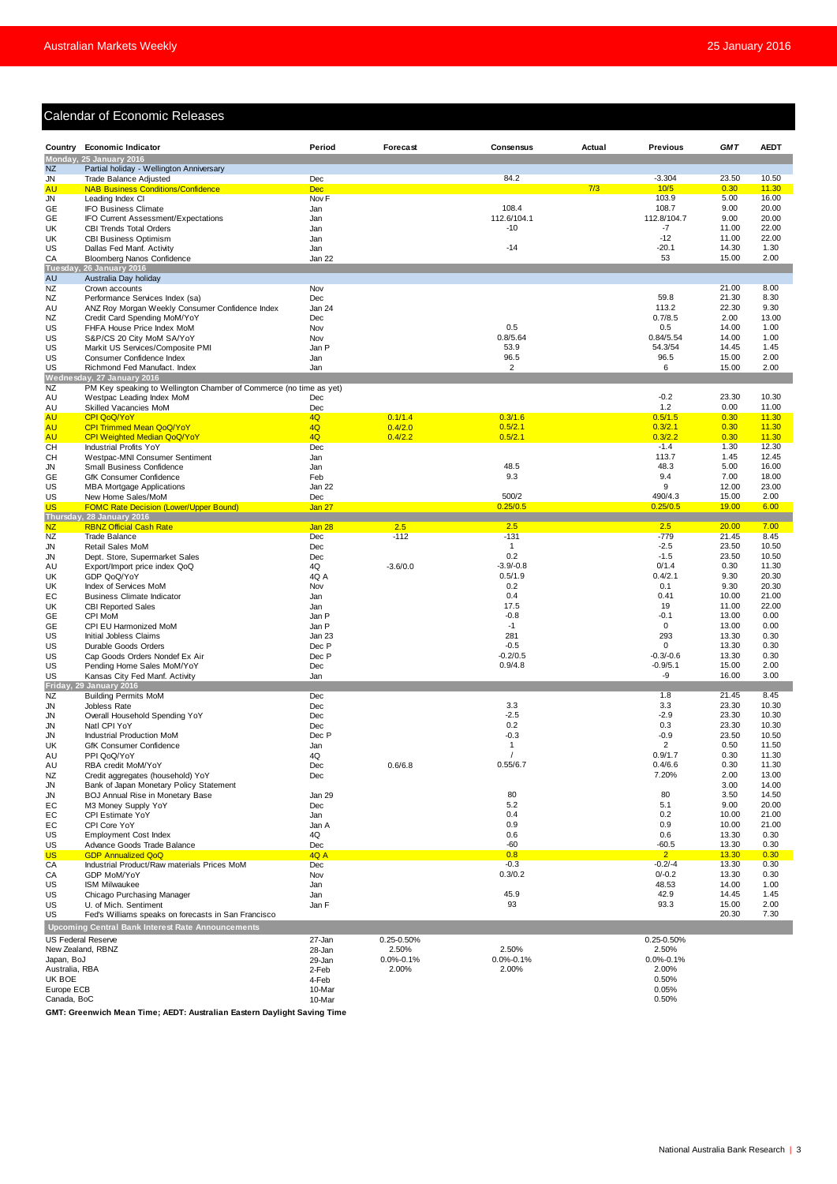#### Calendar of Economic Releases

|                              | <b>Calendar of Economic Releases</b>                                            |                                |                          |                          |        |                             |                |                |
|------------------------------|---------------------------------------------------------------------------------|--------------------------------|--------------------------|--------------------------|--------|-----------------------------|----------------|----------------|
|                              | Country Economic Indicator                                                      | Period                         | Forecast                 | Consensus                | Actual | <b>Previous</b>             | <b>GMT</b>     | <b>AEDT</b>    |
| <b>NZ</b>                    | Monday, 25 January 2016<br>Partial holiday - Wellington Anniversary             |                                |                          |                          |        |                             |                |                |
| JN                           | Trade Balance Adjusted                                                          | Dec                            |                          | 84.2                     |        | $-3.304$                    | 23.50          | 10.50          |
| <b>AU</b><br><b>JN</b>       | <b>NAB Business Conditions/Confidence</b><br>Leading Index CI                   | <b>Dec</b><br>Nov <sub>F</sub> |                          |                          | 7/3    | 10/5<br>103.9               | 0.30<br>5.00   | 11.30<br>16.00 |
| GE                           | <b>IFO Business Climate</b>                                                     | Jan                            |                          | 108.4                    |        | 108.7                       | 9.00           | 20.00          |
| <b>GE</b>                    | IFO Current Assessment/Expectations                                             | Jan                            |                          | 112.6/104.1              |        | 112.8/104.7                 | 9.00           | 20.00          |
| UK<br>UK                     | CBI Trends Total Orders<br><b>CBI Business Optimism</b>                         | Jan<br>Jan                     |                          | $-10$                    |        | $-7$<br>$-12$               | 11.00<br>11.00 | 22.00<br>22.00 |
| US                           | Dallas Fed Manf. Activity                                                       | Jan                            |                          | $-14$                    |        | $-20.1$                     | 14.30          | 1.30           |
| CA                           | Bloomberg Nanos Confidence                                                      | Jan 22                         |                          |                          |        | 53                          | 15.00          | 2.00           |
| Tuesday<br><b>AU</b>         | <b>26 January 2016</b><br>Australia Day holiday                                 |                                |                          |                          |        |                             |                |                |
| NZ                           | Crown accounts                                                                  | Nov                            |                          |                          |        |                             | 21.00          | 8.00           |
| NZ                           | Performance Services Index (sa)                                                 | Dec                            |                          |                          |        | 59.8                        | 21.30          | 8.30           |
| AU<br>NZ                     | ANZ Roy Morgan Weekly Consumer Confidence Index<br>Credit Card Spending MoM/YoY | Jan 24<br>Dec                  |                          |                          |        | 113.2<br>0.7/8.5            | 22.30<br>2.00  | 9.30<br>13.00  |
| US                           | FHFA House Price Index MoM                                                      | Nov                            |                          | 0.5                      |        | 0.5                         | 14.00          | 1.00           |
| US                           | S&P/CS 20 City MoM SA/YoY                                                       | Nov                            |                          | 0.8/5.64                 |        | 0.84/5.54                   | 14.00          | 1.00           |
| US<br>US                     | Markit US Services/Composite PMI                                                | Jan P                          |                          | 53.9<br>96.5             |        | 54.3/54<br>96.5             | 14.45<br>15.00 | 1.45<br>2.00   |
| US                           | Consumer Confidence Index<br>Richmond Fed Manufact. Index                       | Jan<br>Jan                     |                          | 2                        |        | 6                           | 15.00          | 2.00           |
|                              | Wednesday, 27 January 2016                                                      |                                |                          |                          |        |                             |                |                |
| <b>NZ</b>                    | PM Key speaking to Wellington Chamber of Commerce (no time as yet)              |                                |                          |                          |        | $-0.2$                      | 23.30          | 10.30          |
| AU<br>AU                     | Westpac Leading Index MoM<br>Skilled Vacancies MoM                              | Dec<br>Dec                     |                          |                          |        | 1.2                         | 0.00           | 11.00          |
| AU                           | CPI QoQ/YoY                                                                     | 4Q                             | 0.1/1.4                  | 0.3/1.6                  |        | 0.5/1.5                     | 0.30           | 11.30          |
| <b>AU</b>                    | <b>CPI Trimmed Mean QoQ/YoY</b>                                                 | 4Q                             | 0.4/2.0                  | 0.5/2.1                  |        | 0.3/2.1                     | 0.30           | 11.30          |
| <b>AU</b><br>CH              | <b>CPI Weighted Median QoQ/YoY</b><br><b>Industrial Profits YoY</b>             | 4Q<br>Dec                      | 0.4/2.2                  | 0.5/2.1                  |        | 0.3/2.2<br>$-1.4$           | 0.30<br>1.30   | 11.30<br>12.30 |
| <b>CH</b>                    | Westpac-MNI Consumer Sentiment                                                  | Jan                            |                          |                          |        | 113.7                       | 1.45           | 12.45          |
| JN                           | Small Business Confidence                                                       | Jan                            |                          | 48.5                     |        | 48.3                        | 5.00           | 16.00          |
| GE<br>US                     | GfK Consumer Confidence<br><b>MBA Mortgage Applications</b>                     | Feb<br>Jan 22                  |                          | 9.3                      |        | 9.4<br>9                    | 7.00<br>12.00  | 18.00<br>23.00 |
| US                           | New Home Sales/MoM                                                              | Dec                            |                          | 500/2                    |        | 490/4.3                     | 15.00          | 2.00           |
| US                           | <b>FOMC Rate Decision (Lower/Upper Bound)</b>                                   | Jan 27                         |                          | 0.25/0.5                 |        | 0.25/0.5                    | 19.00          | 6.00           |
| Thursda<br><b>NZ</b>         | y, 28 January 2016<br><b>RBNZ Official Cash Rate</b>                            | Jan 28                         | 2.5                      | 2.5                      |        | 2.5                         | 20.00          | 7.00           |
| <b>NZ</b>                    | <b>Trade Balance</b>                                                            | Dec                            | $-112$                   | $-131$                   |        | $-779$                      | 21.45          | 8.45           |
| <b>JN</b>                    | Retail Sales MoM                                                                | Dec                            |                          | $\mathbf{1}$             |        | $-2.5$                      | 23.50          | 10.50          |
| JN<br>AU                     | Dept. Store, Supermarket Sales<br>Export/Import price index QoQ                 | <b>Dec</b><br>4Q               | $-3.6/0.0$               | 0.2<br>$-3.9/-0.8$       |        | $-1.5$<br>0/1.4             | 23.50<br>0.30  | 10.50<br>11.30 |
| UK                           | GDP QoQ/YoY                                                                     | 4Q A                           |                          | 0.5/1.9                  |        | 0.4/2.1                     | 9.30           | 20.30          |
| UK                           | Index of Services MoM                                                           | Nov                            |                          | 0.2                      |        | 0.1                         | 9.30           | 20.30          |
| EС                           | <b>Business Climate Indicator</b>                                               | Jan                            |                          | 0.4                      |        | 0.41                        | 10.00          | 21.00          |
| UK<br>GE                     | <b>CBI Reported Sales</b><br>CPI MoM                                            | Jan<br>Jan P                   |                          | 17.5<br>$-0.8$           |        | 19<br>$-0.1$                | 11.00<br>13.00 | 22.00<br>0.00  |
| GE                           | CPI EU Harmonized MoM                                                           | Jan P                          |                          | $-1$                     |        | $\mathbf 0$                 | 13.00          | 0.00           |
| US                           | Initial Jobless Claims                                                          | Jan 23                         |                          | 281                      |        | 293                         | 13.30          | 0.30           |
| US<br>US                     | Durable Goods Orders<br>Cap Goods Orders Nondef Ex Air                          | Dec P<br>Dec P                 |                          | $-0.5$<br>$-0.2/0.5$     |        | 0<br>$-0.3/-0.6$            | 13.30<br>13.30 | 0.30<br>0.30   |
| US                           | Pending Home Sales MoM/YoY                                                      | Dec                            |                          | 0.9/4.8                  |        | $-0.9/5.1$                  | 15.00          | 2.00           |
| US                           | Kansas City Fed Manf. Activity                                                  | Jan                            |                          |                          |        | -9                          | 16.00          | 3.00           |
| NZ                           | Friday, 29 January 2016<br><b>Building Permits MoM</b>                          | <b>Dec</b>                     |                          |                          |        | 1.8                         | 21.45          | 8.45           |
| JN                           | Jobless Rate                                                                    | Dec                            |                          | 3.3                      |        | 3.3                         | 23.30          | 10.30          |
| JN                           | Overall Household Spending YoY                                                  | Dec                            |                          | $-2.5$                   |        | $-2.9$                      | 23.30          | 10.30          |
| JN<br>JN                     | Natl CPI YoY<br>Industrial Production MoM                                       | Dec<br>Dec P                   |                          | 0.2<br>$-0.3$            |        | 0.3<br>$-0.9$               | 23.30<br>23.50 | 10.30<br>10.50 |
| UK                           | GfK Consumer Confidence                                                         | Jan                            |                          | $\mathbf{1}$             |        | 2                           | 0.50           | 11.50          |
| AU                           | PPI QoQ/YoY                                                                     | 4Q                             |                          |                          |        | 0.9/1.7                     | 0.30           | 11.30          |
| AU                           | RBA credit MoM/YoY                                                              | <b>Dec</b>                     | 0.6/6.8                  | 0.55/6.7                 |        | 0.4/6.6                     | 0.30           | 11.30          |
| NZ<br><b>JN</b>              | Credit aggregates (household) YoY<br>Bank of Japan Monetary Policy Statement    | Dec                            |                          |                          |        | 7.20%                       | 2.00<br>3.00   | 13.00<br>14.00 |
| <b>JN</b>                    | BOJ Annual Rise in Monetary Base                                                | Jan 29                         |                          | 80                       |        | 80                          | 3.50           | 14.50          |
| EC                           | M3 Money Supply YoY                                                             | Dec                            |                          | 5.2                      |        | 5.1                         | 9.00           | 20.00          |
| EC<br>EC                     | CPI Estimate YoY<br>CPI Core YoY                                                | Jan<br>Jan A                   |                          | 0.4<br>0.9               |        | 0.2<br>0.9                  | 10.00<br>10.00 | 21.00<br>21.00 |
| US                           | <b>Employment Cost Index</b>                                                    | 4Q                             |                          | 0.6                      |        | 0.6                         | 13.30          | 0.30           |
| US                           | Advance Goods Trade Balance                                                     | Dec                            |                          | $-60$                    |        | $-60.5$                     | 13.30          | 0.30           |
| <b>US</b><br>CA              | <b>GDP Annualized QoQ</b><br>Industrial Product/Raw materials Prices MoM        | 4Q A<br>Dec                    |                          | 0.8<br>$-0.3$            |        | 2 <sup>2</sup><br>$-0.2/-4$ | 13.30<br>13.30 | 0.30<br>0.30   |
| CA                           | GDP MoM/YoY                                                                     | Nov                            |                          | 0.3/0.2                  |        | $0/-0.2$                    | 13.30          | 0.30           |
| US                           | <b>ISM Milwaukee</b>                                                            | Jan                            |                          |                          |        | 48.53                       | 14.00          | 1.00           |
| US<br>US                     | Chicago Purchasing Manager<br>U. of Mich. Sentiment                             | Jan<br>Jan F                   |                          | 45.9<br>93               |        | 42.9<br>93.3                | 14.45<br>15.00 | 1.45<br>2.00   |
| US                           | Fed's Williams speaks on forecasts in San Francisco                             |                                |                          |                          |        |                             | 20.30          | 7.30           |
|                              | Upcoming Central Bank Interest Rate Announcements                               |                                |                          |                          |        |                             |                |                |
| <b>US Federal Reserve</b>    |                                                                                 | 27-Jan                         | 0.25-0.50%               |                          |        | 0.25-0.50%                  |                |                |
|                              | New Zealand, RBNZ                                                               | 28-Jan                         | 2.50%                    | 2.50%                    |        | 2.50%                       |                |                |
| Japan, BoJ<br>Australia, RBA |                                                                                 | 29-Jan                         | $0.0\% - 0.1\%$<br>2.00% | $0.0\% - 0.1\%$<br>2.00% |        | $0.0\% - 0.1\%$<br>2.00%    |                |                |
| UK BOE                       |                                                                                 | 2-Feb<br>4-Feb                 |                          |                          |        | 0.50%                       |                |                |
| Europe ECB                   |                                                                                 | 10-Mar                         |                          |                          |        | 0.05%                       |                |                |
| Canada, BoC                  |                                                                                 | 10-Mar                         |                          |                          |        | 0.50%                       |                |                |

**GMT: Greenwich Mean Time; AEDT: Australian Eastern Daylight Saving Time**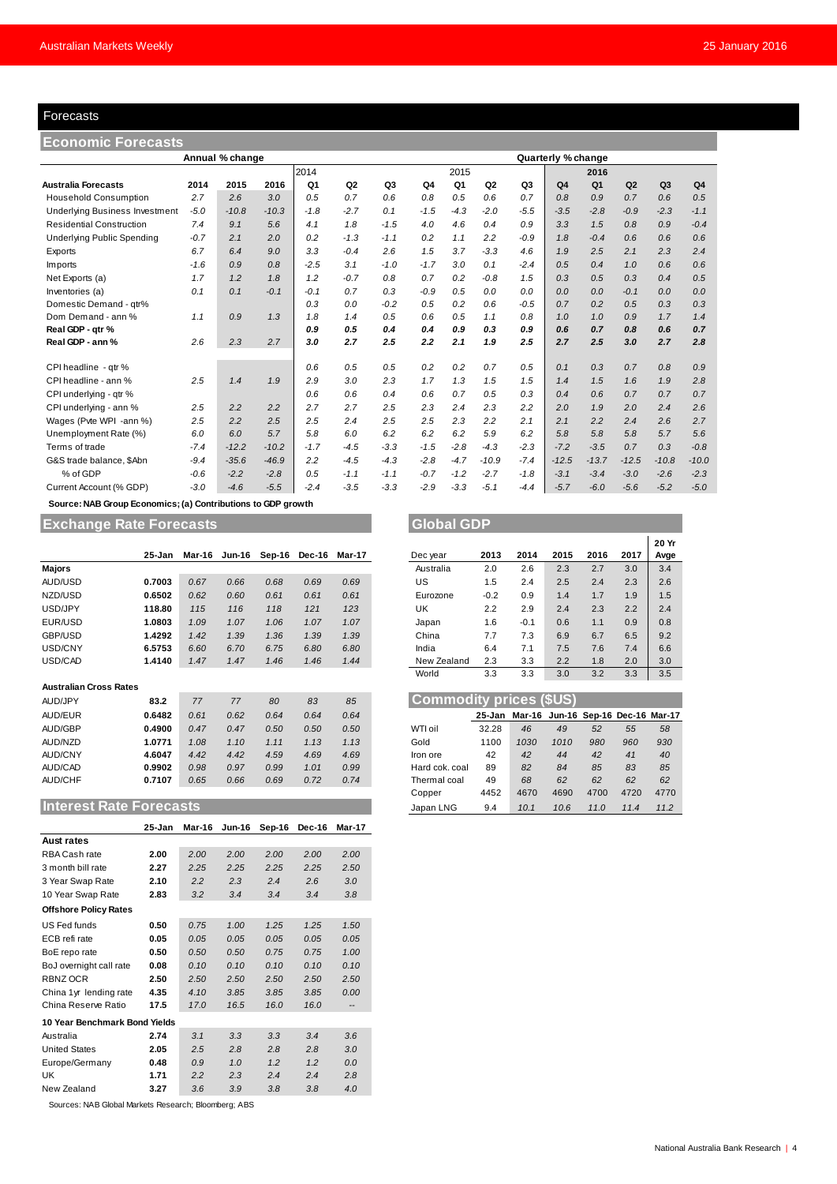#### Forecasts

| Forecasts                                                           |        |                 |         |        |                |        |                |        |                |                |                    |                |         |         |                |
|---------------------------------------------------------------------|--------|-----------------|---------|--------|----------------|--------|----------------|--------|----------------|----------------|--------------------|----------------|---------|---------|----------------|
| <b>Economic Forecasts</b>                                           |        |                 |         |        |                |        |                |        |                |                |                    |                |         |         |                |
|                                                                     |        | Annual % change |         |        |                |        |                |        |                |                | Quarterly % change |                |         |         |                |
|                                                                     |        |                 |         | 2014   |                |        | 2015<br>2016   |        |                |                |                    |                |         |         |                |
| <b>Australia Forecasts</b>                                          | 2014   | 2015            | 2016    | Q1     | Q <sub>2</sub> | Q3     | Q <sub>4</sub> | Q1     | Q <sub>2</sub> | Q <sub>3</sub> | Q <sub>4</sub>     | Q <sub>1</sub> | Q2      | Q3      | Q <sub>4</sub> |
| <b>Household Consumption</b>                                        | 2.7    | 2.6             | 3.0     | 0.5    | 0.7            | 0.6    | 0.8            | 0.5    | 0.6            | 0.7            | 0.8                | 0.9            | 0.7     | 0.6     | 0.5            |
| <b>Underlying Business Investment</b>                               | $-5.0$ | $-10.8$         | $-10.3$ | $-1.8$ | $-2.7$         | 0.1    | $-1.5$         | $-4.3$ | $-2.0$         | $-5.5$         | $-3.5$             | $-2.8$         | $-0.9$  | $-2.3$  | $-1.1$         |
| <b>Residential Construction</b>                                     | 7.4    | 9.1             | 5.6     | 4.1    | 1.8            | $-1.5$ | 4.0            | 4.6    | 0.4            | 0.9            | 3.3                | 1.5            | 0.8     | 0.9     | $-0.4$         |
| <b>Underlying Public Spending</b>                                   | $-0.7$ | 2.1             | 2.0     | 0.2    | $-1.3$         | $-1.1$ | 0.2            | 1.1    | 2.2            | $-0.9$         | 1.8                | $-0.4$         | 0.6     | 0.6     | 0.6            |
| Exports                                                             | 6.7    | 6.4             | 9.0     | 3.3    | $-0.4$         | 2.6    | 1.5            | 3.7    | $-3.3$         | 4.6            | 1.9                | 2.5            | 2.1     | 2.3     | 2.4            |
| Imports                                                             | $-1.6$ | 0.9             | 0.8     | $-2.5$ | 3.1            | $-1.0$ | $-1.7$         | 3.0    | 0.1            | $-2.4$         | 0.5                | 0.4            | 1.0     | 0.6     | 0.6            |
| Net Exports (a)                                                     | 1.7    | 1.2             | 1.8     | 1.2    | $-0.7$         | 0.8    | 0.7            | 0.2    | $-0.8$         | 1.5            | 0.3                | 0.5            | 0.3     | 0.4     | 0.5            |
| Inventories (a)                                                     | 0.1    | 0.1             | $-0.1$  | $-0.1$ | 0.7            | 0.3    | $-0.9$         | 0.5    | 0.0            | 0.0            | 0.0                | 0.0            | $-0.1$  | 0.0     | 0.0            |
| Domestic Demand - qtr%                                              |        |                 |         | 0.3    | 0.0            | $-0.2$ | 0.5            | 0.2    | 0.6            | $-0.5$         | 0.7                | 0.2            | 0.5     | 0.3     | 0.3            |
| Dom Demand - ann %                                                  | 1.1    | 0.9             | 1.3     | 1.8    | 1.4            | 0.5    | 0.6            | 0.5    | 1.1            | 0.8            | 1.0                | 1.0            | 0.9     | 1.7     | 1.4            |
| Real GDP - qtr %                                                    |        |                 |         | 0.9    | 0.5            | 0.4    | 0.4            | 0.9    | 0.3            | 0.9            | 0.6                | 0.7            | 0.8     | 0.6     | 0.7            |
| Real GDP - ann %                                                    | 2.6    | 2.3             | 2.7     | 3.0    | 2.7            | 2.5    | 2.2            | 2.1    | 1.9            | 2.5            | 2.7                | 2.5            | 3.0     | 2.7     | 2.8            |
| CPI headline - qtr %                                                |        |                 |         | 0.6    | 0.5            | 0.5    | 0.2            | 0.2    | 0.7            | 0.5            | 0.1                | 0.3            | 0.7     | 0.8     | 0.9            |
| CPI headline - ann %                                                | 2.5    | 1.4             | 1.9     | 2.9    | 3.0            | 2.3    | 1.7            | 1.3    | 1.5            | 1.5            | 1.4                | 1.5            | 1.6     | 1.9     | 2.8            |
| CPI underlying - qtr %                                              |        |                 |         | 0.6    | 0.6            | 0.4    | 0.6            | 0.7    | 0.5            | 0.3            | 0.4                | 0.6            | 0.7     | 0.7     | 0.7            |
| CPI underlying - ann %                                              | 2.5    | 2.2             | 2.2     | 2.7    | 2.7            | 2.5    | 2.3            | 2.4    | 2.3            | 2.2            | 2.0                | 1.9            | 2.0     | 2.4     | 2.6            |
| Wages (Pvte WPI -ann %)                                             | 2.5    | 2.2             | 2.5     | 2.5    | 2.4            | 2.5    | 2.5            | 2.3    | 2.2            | 2.1            | 2.1                | 2.2            | 2.4     | 2.6     | 2.7            |
| Unemployment Rate (%)                                               | 6.0    | 6.0             | 5.7     | 5.8    | 6.0            | 6.2    | 6.2            | 6.2    | 5.9            | 6.2            | 5.8                | 5.8            | 5.8     | 5.7     | 5.6            |
| Terms of trade                                                      | $-7.4$ | $-12.2$         | $-10.2$ | $-1.7$ | $-4.5$         | $-3.3$ | $-1.5$         | $-2.8$ | $-4.3$         | $-2.3$         | $-7.2$             | $-3.5$         | 0.7     | 0.3     | $-0.8$         |
| G&S trade balance, \$Abn                                            | $-9.4$ | $-35.6$         | $-46.9$ | 2.2    | $-4.5$         | $-4.3$ | $-2.8$         | $-4.7$ | $-10.9$        | $-7.4$         | $-12.5$            | $-13.7$        | $-12.5$ | $-10.8$ | $-10.0$        |
| % of GDP                                                            | $-0.6$ | $-2.2$          | $-2.8$  | 0.5    | $-1.1$         | $-1.1$ | $-0.7$         | $-1.2$ | $-2.7$         | $-1.8$         | $-3.1$             | $-3.4$         | $-3.0$  | $-2.6$  | $-2.3$         |
| Current Account (% GDP)                                             | $-3.0$ | $-4.6$          | $-5.5$  | $-2.4$ | $-3.5$         | $-3.3$ | $-2.9$         | $-3.3$ | $-5.1$         | $-4.4$         | $-5.7$             | $-6.0$         | $-5.6$  | $-5.2$  | $-5.0$         |
| <b>Course: NAP Croup Feanamies: (a) Contributions to CDB grouth</b> |        |                 |         |        |                |        |                |        |                |                |                    |                |         |         |                |

 **Source: NAB Group Economics; (a) Contributions to GDP growth**

# **Exchange Rate Forecasts Global GDP**

|                               | 25-Jan | Mar-16 | Jun-16 | Sep-16 | Dec-16 | Mar-17 | Dec year                       | 2013   | 2014                                     | 2015 | 2016 | 2017 | <b>Avg</b> |
|-------------------------------|--------|--------|--------|--------|--------|--------|--------------------------------|--------|------------------------------------------|------|------|------|------------|
| <b>Majors</b>                 |        |        |        |        |        |        | Australia                      | 2.0    | 2.6                                      | 2.3  | 2.7  | 3.0  | 3.4        |
| AUD/USD                       | 0.7003 | 0.67   | 0.66   | 0.68   | 0.69   | 0.69   | US                             | 1.5    | 2.4                                      | 2.5  | 2.4  | 2.3  | 2.6        |
| NZD/USD                       | 0.6502 | 0.62   | 0.60   | 0.61   | 0.61   | 0.61   | Eurozone                       | $-0.2$ | 0.9                                      | 1.4  | 1.7  | 1.9  | 1.5        |
| USD/JPY                       | 118.80 | 115    | 116    | 118    | 121    | 123    | UK                             | 2.2    | 2.9                                      | 2.4  | 2.3  | 2.2  | 2.4        |
| EUR/USD                       | .0803  | 1.09   | 1.07   | 1.06   | 1.07   | 1.07   | Japan                          | 1.6    | $-0.1$                                   | 0.6  | 1.1  | 0.9  | 0.8        |
| GBP/USD                       | .4292  | 1.42   | 1.39   | 1.36   | 1.39   | 1.39   | China                          | 7.7    | 7.3                                      | 6.9  | 6.7  | 6.5  | 9.2        |
| USD/CNY                       | 6.5753 | 6.60   | 6.70   | 6.75   | 6.80   | 6.80   | India                          | 6.4    | 7.1                                      | 7.5  | 7.6  | 7.4  | 6.6        |
| USD/CAD                       | 1.4140 | 1.47   | 1.47   | 1.46   | 1.46   | 1.44   | New Zealand                    | 2.3    | 3.3                                      | 2.2  | 1.8  | 2.0  | 3.0        |
|                               |        |        |        |        |        |        | World                          | 3.3    | 3.3                                      | 3.0  | 3.2  | 3.3  | 3.5        |
| <b>Australian Cross Rates</b> |        |        |        |        |        |        |                                |        |                                          |      |      |      |            |
| AUD/JPY                       | 83.2   | 77     | 77     | 80     | 83     | 85     | <b>Commodity prices (\$US)</b> |        |                                          |      |      |      |            |
| AUD/EUR                       | 0.6482 | 0.61   | 0.62   | 0.64   | 0.64   | 0.64   |                                |        | 25-Jan Mar-16 Jun-16 Sep-16 Dec-16 Mar-1 |      |      |      |            |

#### **Australian Cross Rates**

| -----                         | .      | .    | .    | $\cdots$ | $\cdots$ | .    |                                | <u>.</u> | ັັ                                        | - -  | $\cdot$ | $-1$ | $\sim$ |
|-------------------------------|--------|------|------|----------|----------|------|--------------------------------|----------|-------------------------------------------|------|---------|------|--------|
|                               |        |      |      |          |          |      | World                          | 3.3      | 3.3                                       | 3.0  | 3.2     | 3.3  | 3.5    |
| <b>Australian Cross Rates</b> |        |      |      |          |          |      |                                |          |                                           |      |         |      |        |
| AUD/JPY                       | 83.2   | 77   | 77   | 80       | 83       | 85   | <b>Commodity prices (\$US)</b> |          |                                           |      |         |      |        |
| AUD/EUR                       | 0.6482 | 0.61 | 0.62 | 0.64     | 0.64     | 0.64 |                                |          | 25-Jan Mar-16 Jun-16 Sep-16 Dec-16 Mar-17 |      |         |      |        |
| <b>AUD/GBP</b>                | 0.4900 | 0.47 | 0.47 | 0.50     | 0.50     | 0.50 | WTI oil                        | 32.28    | 46                                        | 49   | 52      | 55   | 58     |
| AUD/NZD                       | 1.0771 | 1.08 | 1.10 | 1.11     | 1.13     | 1.13 | Gold                           | 1100     | 1030                                      | 1010 | 980     | 960  | 930    |
| AUD/CNY                       | 4.6047 | 4.42 | 4.42 | 4.59     | 4.69     | 4.69 | Iron ore                       | 42       | 42                                        | 44   | 42      | 41   | 40     |
| AUD/CAD                       | 0.9902 | 0.98 | 0.97 | 0.99     | 1.01     | 0.99 | Hard cok. coal                 | 89       | 82                                        | 84   | 85      | 83   | 85     |
| AUD/CHF                       | 0.7107 | 0.65 | 0.66 | 0.69     | 0.72     | 0.74 | Thermal coal                   | 49       | 68                                        | 62   | 62      | 62   | 62     |
|                               |        |      |      |          |          |      | Copper                         | 4452     | 4670                                      | 4690 | 4700    | 4720 | 4770   |

#### **Interest Rate Forecasts**

|                               | 25-Jan | Mar-16 | <b>Jun-16</b> | Sep-16 | Dec-16 | Mar-17 |
|-------------------------------|--------|--------|---------------|--------|--------|--------|
| <b>Aust rates</b>             |        |        |               |        |        |        |
| RBA Cash rate                 | 2.00   | 2.00   | 2.00          | 2.00   | 2.00   | 2.00   |
| 3 month bill rate             | 2.27   | 2.25   | 2.25          | 2.25   | 2.25   | 2.50   |
| 3 Year Swap Rate              | 2.10   | 2.2    | 2.3           | 2.4    | 2.6    | 3.0    |
| 10 Year Swap Rate             | 2.83   | 3.2    | 3.4           | 3.4    | 3.4    | 3.8    |
| <b>Offshore Policy Rates</b>  |        |        |               |        |        |        |
| US Fed funds                  | 0.50   | 0.75   | 1.00          | 1.25   | 1.25   | 1.50   |
| ECB refi rate                 | 0.05   | 0.05   | 0.05          | 0.05   | 0.05   | 0.05   |
| BoE repo rate                 | 0.50   | 0.50   | 0.50          | 0.75   | 0.75   | 1.00   |
| BoJ overnight call rate       | 0.08   | 0.10   | 0.10          | 0.10   | 0.10   | 0.10   |
| RBNZ OCR                      | 2.50   | 2.50   | 2.50          | 2.50   | 2.50   | 2.50   |
| China 1yr lending rate        | 4.35   | 4.10   | 3.85          | 3.85   | 3.85   | 0.00   |
| China Reserve Ratio           | 17.5   | 17.0   | 16.5          | 16.0   | 16.0   | --     |
| 10 Year Benchmark Bond Yields |        |        |               |        |        |        |
| Australia                     | 2.74   | 3.1    | 3.3           | 3.3    | 3.4    | 3.6    |
| <b>United States</b>          | 2.05   | 2.5    | 2.8           | 2.8    | 2.8    | 3.0    |
| Europe/Germany                | 0.48   | 0.9    | 1.0           | 1.2    | 1.2    | 0.0    |
| UK                            | 1.71   | 2.2    | 2.3           | 2.4    | 2.4    | 2.8    |
| New Zealand                   | 3.27   | 3.6    | 3.9           | 3.8    | 3.8    | 4.0    |

Sources: NAB Global Markets Research; Bloomberg; ABS

|        |        |        |        |        |        |             |        |        |      |      |      | 20 Yr |
|--------|--------|--------|--------|--------|--------|-------------|--------|--------|------|------|------|-------|
| 25-Jan | Mar-16 | Jun-16 | Sep-16 | Dec-16 | Mar-17 | Dec year    | 2013   | 2014   | 2015 | 2016 | 2017 | Avge  |
|        |        |        |        |        |        | Australia   | 2.0    | 2.6    | 2.3  | 2.7  | 3.0  | 3.4   |
| 0.7003 | 0.67   | 0.66   | 0.68   | 0.69   | 0.69   | US          | 1.5    | 2.4    | 2.5  | 2.4  | 2.3  | 2.6   |
| 0.6502 | 0.62   | 0.60   | 0.61   | 0.61   | 0.61   | Eurozone    | $-0.2$ | 0.9    | 1.4  | 1.7  | 1.9  | 1.5   |
| 118.80 | 115    | 116    | 118    | 121    | 123    | UK          | 2.2    | 2.9    | 2.4  | 2.3  | 2.2  | 2.4   |
| 1.0803 | 1.09   | 1.07   | 1.06   | 1.07   | 1.07   | Japan       | 1.6    | $-0.1$ | 0.6  | 1.1  | 0.9  | 0.8   |
| 1.4292 | 1.42   | 1.39   | 1.36   | 1.39   | 1.39   | China       | 7.7    | 7.3    | 6.9  | 6.7  | 6.5  | 9.2   |
| 6.5753 | 6.60   | 6.70   | 6.75   | 6.80   | 6.80   | India       | 6.4    | 7.1    | 7.5  | 7.6  | 7.4  | 6.6   |
| 1.4140 | 1.47   | 1.47   | 1.46   | 1.46   | 1.44   | New Zealand | 2.3    | 3.3    | 2.2  | 1.8  | 2.0  | 3.0   |
|        |        |        |        |        |        | World       | 3.3    | 3.3    | 3.0  | 3.2  | 3.3  | 3.5   |

| Commodity prices (\$US) |        |      |                                    |      |      |      |  |  |  |  |  |  |  |
|-------------------------|--------|------|------------------------------------|------|------|------|--|--|--|--|--|--|--|
|                         | 25-Jan |      | Mar-16 Jun-16 Sep-16 Dec-16 Mar-17 |      |      |      |  |  |  |  |  |  |  |
| WTI oil                 | 32.28  | 46   | 49                                 | 52   | 55   | 58   |  |  |  |  |  |  |  |
| Gold                    | 1100   | 1030 | 1010                               | 980  | 960  | 930  |  |  |  |  |  |  |  |
| Iron ore                | 42     | 42   | 44                                 | 42   | 41   | 40   |  |  |  |  |  |  |  |
| Hard cok. coal          | 89     | 82   | 84                                 | 85   | 83   | 85   |  |  |  |  |  |  |  |
| Thermal coal            | 49     | 68   | 62                                 | 62   | 62   | 62   |  |  |  |  |  |  |  |
| Copper                  | 4452   | 4670 | 4690                               | 4700 | 4720 | 4770 |  |  |  |  |  |  |  |
| Japan LNG               | 9.4    | 10.1 | 10.6                               | 11.0 | 11.4 | 11.2 |  |  |  |  |  |  |  |